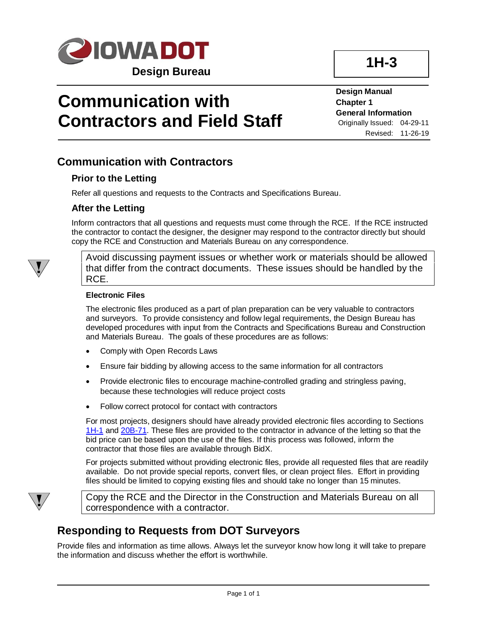

**Design Manual Chapter 1 General Information** Originally Issued: 04-29-11 Revised: 11-26-19

## **Communication with Contractors**

### **Prior to the Letting**

Refer all questions and requests to the Contracts and Specifications Bureau.

### **After the Letting**

Inform contractors that all questions and requests must come through the RCE. If the RCE instructed the contractor to contact the designer, the designer may respond to the contractor directly but should copy the RCE and Construction and Materials Bureau on any correspondence.

Avoid discussing payment issues or whether work or materials should be allowed that differ from the contract documents. These issues should be handled by the RCE.

#### **Electronic Files**

The electronic files produced as a part of plan preparation can be very valuable to contractors and surveyors. To provide consistency and follow legal requirements, the Design Bureau has developed procedures with input from the Contracts and Specifications Bureau and Construction and Materials Bureau. The goals of these procedures are as follows:

- Comply with Open Records Laws
- Ensure fair bidding by allowing access to the same information for all contractors
- Provide electronic files to encourage machine-controlled grading and stringless paving, because these technologies will reduce project costs
- Follow correct protocol for contact with contractors

For most projects, designers should have already provided electronic files according to Sections [1H-1](01H-01.pdf) and [20B-71.](20b-71.pdf) These files are provided to the contractor in advance of the letting so that the bid price can be based upon the use of the files. If this process was followed, inform the contractor that those files are available through BidX.

For projects submitted without providing electronic files, provide all requested files that are readily available. Do not provide special reports, convert files, or clean project files. Effort in providing files should be limited to copying existing files and should take no longer than 15 minutes.



Copy the RCE and the Director in the Construction and Materials Bureau on all correspondence with a contractor.

## **Responding to Requests from DOT Surveyors**

Provide files and information as time allows. Always let the surveyor know how long it will take to prepare the information and discuss whether the effort is worthwhile.